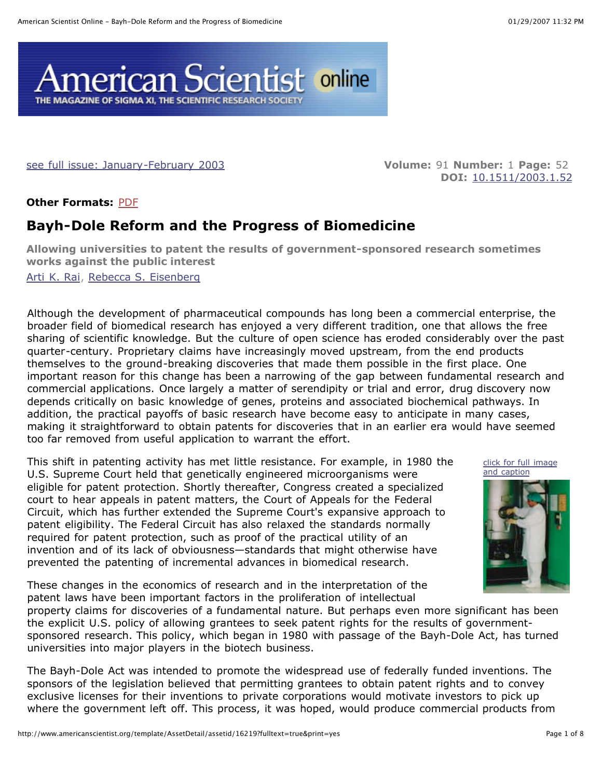

see full issue: January-February 2003 **Volume:** 91 **Number:** 1 **Page:** 52

**DOI:** 10.1511/2003.1.52

**Other Formats:** PDF

# **Bayh-Dole Reform and the Progress of Biomedicine**

**Allowing universities to patent the results of government-sponsored research sometimes works against the public interest**

Arti K. Rai, Rebecca S. Eisenberg

Although the development of pharmaceutical compounds has long been a commercial enterprise, the broader field of biomedical research has enjoyed a very different tradition, one that allows the free sharing of scientific knowledge. But the culture of open science has eroded considerably over the past quarter-century. Proprietary claims have increasingly moved upstream, from the end products themselves to the ground-breaking discoveries that made them possible in the first place. One important reason for this change has been a narrowing of the gap between fundamental research and commercial applications. Once largely a matter of serendipity or trial and error, drug discovery now depends critically on basic knowledge of genes, proteins and associated biochemical pathways. In addition, the practical payoffs of basic research have become easy to anticipate in many cases, making it straightforward to obtain patents for discoveries that in an earlier era would have seemed too far removed from useful application to warrant the effort.

This shift in patenting activity has met little resistance. For example, in 1980 the U.S. Supreme Court held that genetically engineered microorganisms were eligible for patent protection. Shortly thereafter, Congress created a specialized court to hear appeals in patent matters, the Court of Appeals for the Federal Circuit, which has further extended the Supreme Court's expansive approach to patent eligibility. The Federal Circuit has also relaxed the standards normally required for patent protection, such as proof of the practical utility of an invention and of its lack of obviousness—standards that might otherwise have prevented the patenting of incremental advances in biomedical research.

These changes in the economics of research and in the interpretation of the patent laws have been important factors in the proliferation of intellectual

property claims for discoveries of a fundamental nature. But perhaps even more significant has been the explicit U.S. policy of allowing grantees to seek patent rights for the results of governmentsponsored research. This policy, which began in 1980 with passage of the Bayh-Dole Act, has turned

universities into major players in the biotech business. The Bayh-Dole Act was intended to promote the widespread use of federally funded inventions. The sponsors of the legislation believed that permitting grantees to obtain patent rights and to convey exclusive licenses for their inventions to private corporations would motivate investors to pick up where the government left off. This process, it was hoped, would produce commercial products from



click for full image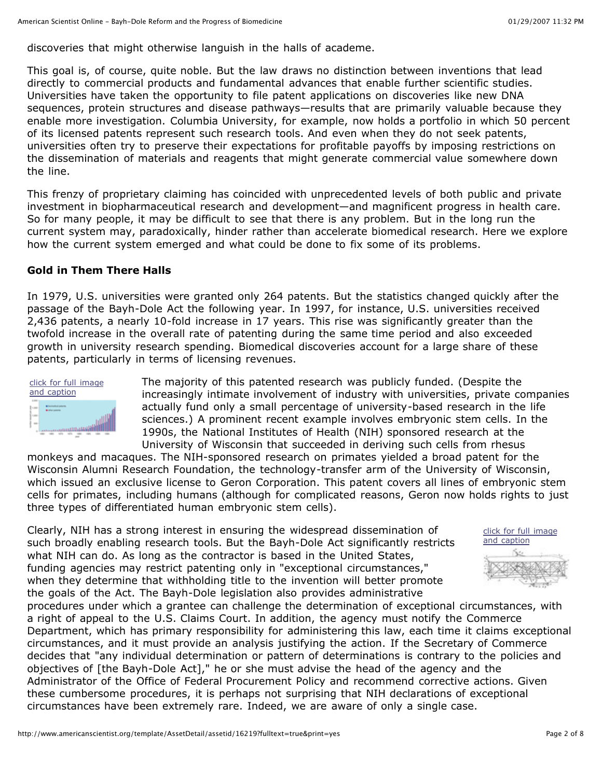discoveries that might otherwise languish in the halls of academe.

This goal is, of course, quite noble. But the law draws no distinction between inventions that lead directly to commercial products and fundamental advances that enable further scientific studies. Universities have taken the opportunity to file patent applications on discoveries like new DNA sequences, protein structures and disease pathways—results that are primarily valuable because they enable more investigation. Columbia University, for example, now holds a portfolio in which 50 percent of its licensed patents represent such research tools. And even when they do not seek patents, universities often try to preserve their expectations for profitable payoffs by imposing restrictions on the dissemination of materials and reagents that might generate commercial value somewhere down the line.

This frenzy of proprietary claiming has coincided with unprecedented levels of both public and private investment in biopharmaceutical research and development—and magnificent progress in health care. So for many people, it may be difficult to see that there is any problem. But in the long run the current system may, paradoxically, hinder rather than accelerate biomedical research. Here we explore how the current system emerged and what could be done to fix some of its problems.

# **Gold in Them There Halls**

In 1979, U.S. universities were granted only 264 patents. But the statistics changed quickly after the passage of the Bayh-Dole Act the following year. In 1997, for instance, U.S. universities received 2,436 patents, a nearly 10-fold increase in 17 years. This rise was significantly greater than the twofold increase in the overall rate of patenting during the same time period and also exceeded growth in university research spending. Biomedical discoveries account for a large share of these patents, particularly in terms of licensing revenues.



The majority of this patented research was publicly funded. (Despite the increasingly intimate involvement of industry with universities, private companies actually fund only a small percentage of university-based research in the life sciences.) A prominent recent example involves embryonic stem cells. In the 1990s, the National Institutes of Health (NIH) sponsored research at the University of Wisconsin that succeeded in deriving such cells from rhesus

monkeys and macaques. The NIH-sponsored research on primates yielded a broad patent for the Wisconsin Alumni Research Foundation, the technology-transfer arm of the University of Wisconsin, which issued an exclusive license to Geron Corporation. This patent covers all lines of embryonic stem cells for primates, including humans (although for complicated reasons, Geron now holds rights to just three types of differentiated human embryonic stem cells).

Clearly, NIH has a strong interest in ensuring the widespread dissemination of such broadly enabling research tools. But the Bayh-Dole Act significantly restricts what NIH can do. As long as the contractor is based in the United States, funding agencies may restrict patenting only in "exceptional circumstances," when they determine that withholding title to the invention will better promote the goals of the Act. The Bayh-Dole legislation also provides administrative

procedures under which a grantee can challenge the determination of exceptional circumstances, with a right of appeal to the U.S. Claims Court. In addition, the agency must notify the Commerce Department, which has primary responsibility for administering this law, each time it claims exceptional circumstances, and it must provide an analysis justifying the action. If the Secretary of Commerce decides that "any individual determination or pattern of determinations is contrary to the policies and objectives of [the Bayh-Dole Act]," he or she must advise the head of the agency and the Administrator of the Office of Federal Procurement Policy and recommend corrective actions. Given these cumbersome procedures, it is perhaps not surprising that NIH declarations of exceptional circumstances have been extremely rare. Indeed, we are aware of only a single case.

click for full image and caption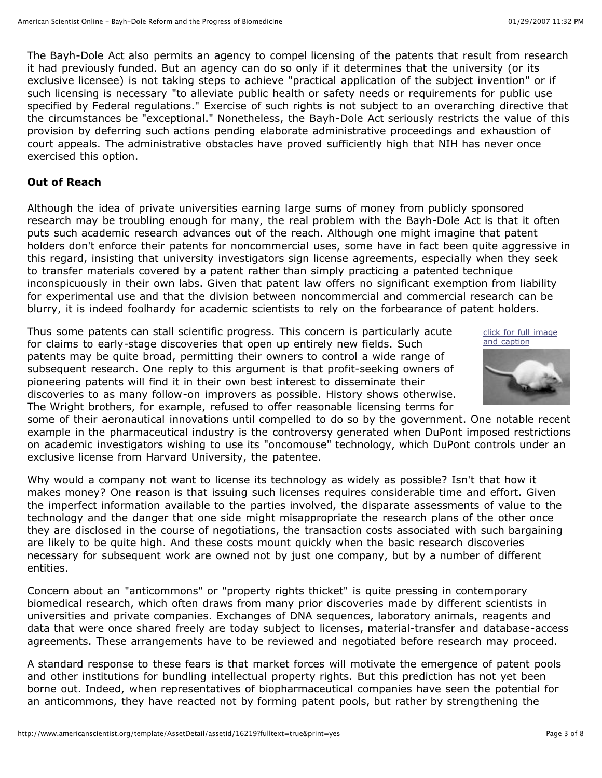The Bayh-Dole Act also permits an agency to compel licensing of the patents that result from research it had previously funded. But an agency can do so only if it determines that the university (or its exclusive licensee) is not taking steps to achieve "practical application of the subject invention" or if such licensing is necessary "to alleviate public health or safety needs or requirements for public use specified by Federal regulations." Exercise of such rights is not subject to an overarching directive that the circumstances be "exceptional." Nonetheless, the Bayh-Dole Act seriously restricts the value of this provision by deferring such actions pending elaborate administrative proceedings and exhaustion of court appeals. The administrative obstacles have proved sufficiently high that NIH has never once exercised this option.

#### **Out of Reach**

Although the idea of private universities earning large sums of money from publicly sponsored research may be troubling enough for many, the real problem with the Bayh-Dole Act is that it often puts such academic research advances out of the reach. Although one might imagine that patent holders don't enforce their patents for noncommercial uses, some have in fact been quite aggressive in this regard, insisting that university investigators sign license agreements, especially when they seek to transfer materials covered by a patent rather than simply practicing a patented technique inconspicuously in their own labs. Given that patent law offers no significant exemption from liability for experimental use and that the division between noncommercial and commercial research can be blurry, it is indeed foolhardy for academic scientists to rely on the forbearance of patent holders.

Thus some patents can stall scientific progress. This concern is particularly acute for claims to early-stage discoveries that open up entirely new fields. Such patents may be quite broad, permitting their owners to control a wide range of subsequent research. One reply to this argument is that profit-seeking owners of pioneering patents will find it in their own best interest to disseminate their discoveries to as many follow-on improvers as possible. History shows otherwise. The Wright brothers, for example, refused to offer reasonable licensing terms for





some of their aeronautical innovations until compelled to do so by the government. One notable recent example in the pharmaceutical industry is the controversy generated when DuPont imposed restrictions on academic investigators wishing to use its "oncomouse" technology, which DuPont controls under an exclusive license from Harvard University, the patentee.

Why would a company not want to license its technology as widely as possible? Isn't that how it makes money? One reason is that issuing such licenses requires considerable time and effort. Given the imperfect information available to the parties involved, the disparate assessments of value to the technology and the danger that one side might misappropriate the research plans of the other once they are disclosed in the course of negotiations, the transaction costs associated with such bargaining are likely to be quite high. And these costs mount quickly when the basic research discoveries necessary for subsequent work are owned not by just one company, but by a number of different entities.

Concern about an "anticommons" or "property rights thicket" is quite pressing in contemporary biomedical research, which often draws from many prior discoveries made by different scientists in universities and private companies. Exchanges of DNA sequences, laboratory animals, reagents and data that were once shared freely are today subject to licenses, material-transfer and database-access agreements. These arrangements have to be reviewed and negotiated before research may proceed.

A standard response to these fears is that market forces will motivate the emergence of patent pools and other institutions for bundling intellectual property rights. But this prediction has not yet been borne out. Indeed, when representatives of biopharmaceutical companies have seen the potential for an anticommons, they have reacted not by forming patent pools, but rather by strengthening the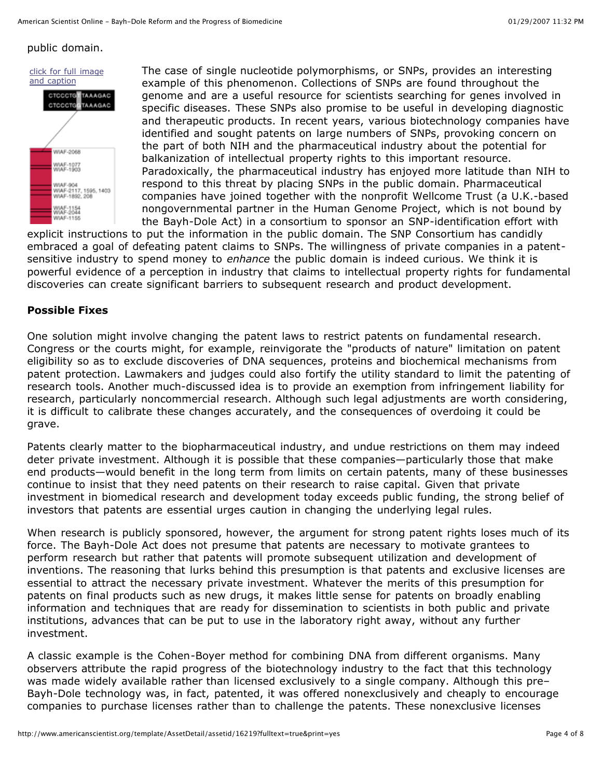# public domain.



The case of single nucleotide polymorphisms, or SNPs, provides an interesting example of this phenomenon. Collections of SNPs are found throughout the genome and are a useful resource for scientists searching for genes involved in specific diseases. These SNPs also promise to be useful in developing diagnostic and therapeutic products. In recent years, various biotechnology companies have identified and sought patents on large numbers of SNPs, provoking concern on the part of both NIH and the pharmaceutical industry about the potential for balkanization of intellectual property rights to this important resource. Paradoxically, the pharmaceutical industry has enjoyed more latitude than NIH to respond to this threat by placing SNPs in the public domain. Pharmaceutical companies have joined together with the nonprofit Wellcome Trust (a U.K.-based nongovernmental partner in the Human Genome Project, which is not bound by the Bayh-Dole Act) in a consortium to sponsor an SNP-identification effort with

explicit instructions to put the information in the public domain. The SNP Consortium has candidly embraced a goal of defeating patent claims to SNPs. The willingness of private companies in a patentsensitive industry to spend money to *enhance* the public domain is indeed curious. We think it is powerful evidence of a perception in industry that claims to intellectual property rights for fundamental discoveries can create significant barriers to subsequent research and product development.

# **Possible Fixes**

One solution might involve changing the patent laws to restrict patents on fundamental research. Congress or the courts might, for example, reinvigorate the "products of nature" limitation on patent eligibility so as to exclude discoveries of DNA sequences, proteins and biochemical mechanisms from patent protection. Lawmakers and judges could also fortify the utility standard to limit the patenting of research tools. Another much-discussed idea is to provide an exemption from infringement liability for research, particularly noncommercial research. Although such legal adjustments are worth considering, it is difficult to calibrate these changes accurately, and the consequences of overdoing it could be grave.

Patents clearly matter to the biopharmaceutical industry, and undue restrictions on them may indeed deter private investment. Although it is possible that these companies—particularly those that make end products—would benefit in the long term from limits on certain patents, many of these businesses continue to insist that they need patents on their research to raise capital. Given that private investment in biomedical research and development today exceeds public funding, the strong belief of investors that patents are essential urges caution in changing the underlying legal rules.

When research is publicly sponsored, however, the argument for strong patent rights loses much of its force. The Bayh-Dole Act does not presume that patents are necessary to motivate grantees to perform research but rather that patents will promote subsequent utilization and development of inventions. The reasoning that lurks behind this presumption is that patents and exclusive licenses are essential to attract the necessary private investment. Whatever the merits of this presumption for patents on final products such as new drugs, it makes little sense for patents on broadly enabling information and techniques that are ready for dissemination to scientists in both public and private institutions, advances that can be put to use in the laboratory right away, without any further investment.

A classic example is the Cohen-Boyer method for combining DNA from different organisms. Many observers attribute the rapid progress of the biotechnology industry to the fact that this technology was made widely available rather than licensed exclusively to a single company. Although this pre-Bayh-Dole technology was, in fact, patented, it was offered nonexclusively and cheaply to encourage companies to purchase licenses rather than to challenge the patents. These nonexclusive licenses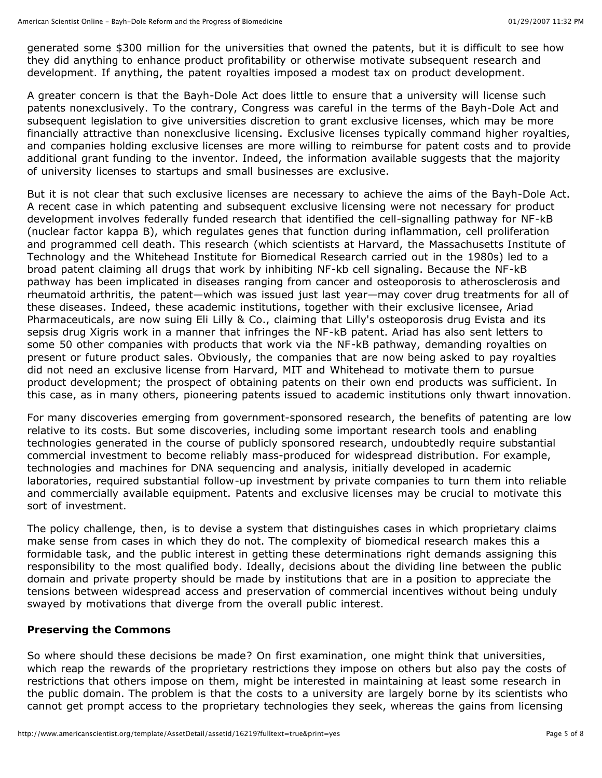generated some \$300 million for the universities that owned the patents, but it is difficult to see how they did anything to enhance product profitability or otherwise motivate subsequent research and development. If anything, the patent royalties imposed a modest tax on product development.

A greater concern is that the Bayh-Dole Act does little to ensure that a university will license such patents nonexclusively. To the contrary, Congress was careful in the terms of the Bayh-Dole Act and subsequent legislation to give universities discretion to grant exclusive licenses, which may be more financially attractive than nonexclusive licensing. Exclusive licenses typically command higher royalties, and companies holding exclusive licenses are more willing to reimburse for patent costs and to provide additional grant funding to the inventor. Indeed, the information available suggests that the majority of university licenses to startups and small businesses are exclusive.

But it is not clear that such exclusive licenses are necessary to achieve the aims of the Bayh-Dole Act. A recent case in which patenting and subsequent exclusive licensing were not necessary for product development involves federally funded research that identified the cell-signalling pathway for NF-kB (nuclear factor kappa B), which regulates genes that function during inflammation, cell proliferation and programmed cell death. This research (which scientists at Harvard, the Massachusetts Institute of Technology and the Whitehead Institute for Biomedical Research carried out in the 1980s) led to a broad patent claiming all drugs that work by inhibiting NF-kb cell signaling. Because the NF-kB pathway has been implicated in diseases ranging from cancer and osteoporosis to atherosclerosis and rheumatoid arthritis, the patent—which was issued just last year—may cover drug treatments for all of these diseases. Indeed, these academic institutions, together with their exclusive licensee, Ariad Pharmaceuticals, are now suing Eli Lilly & Co., claiming that Lilly's osteoporosis drug Evista and its sepsis drug Xigris work in a manner that infringes the NF-kB patent. Ariad has also sent letters to some 50 other companies with products that work via the NF-kB pathway, demanding royalties on present or future product sales. Obviously, the companies that are now being asked to pay royalties did not need an exclusive license from Harvard, MIT and Whitehead to motivate them to pursue product development; the prospect of obtaining patents on their own end products was sufficient. In this case, as in many others, pioneering patents issued to academic institutions only thwart innovation.

For many discoveries emerging from government-sponsored research, the benefits of patenting are low relative to its costs. But some discoveries, including some important research tools and enabling technologies generated in the course of publicly sponsored research, undoubtedly require substantial commercial investment to become reliably mass-produced for widespread distribution. For example, technologies and machines for DNA sequencing and analysis, initially developed in academic laboratories, required substantial follow-up investment by private companies to turn them into reliable and commercially available equipment. Patents and exclusive licenses may be crucial to motivate this sort of investment.

The policy challenge, then, is to devise a system that distinguishes cases in which proprietary claims make sense from cases in which they do not. The complexity of biomedical research makes this a formidable task, and the public interest in getting these determinations right demands assigning this responsibility to the most qualified body. Ideally, decisions about the dividing line between the public domain and private property should be made by institutions that are in a position to appreciate the tensions between widespread access and preservation of commercial incentives without being unduly swayed by motivations that diverge from the overall public interest.

# **Preserving the Commons**

So where should these decisions be made? On first examination, one might think that universities, which reap the rewards of the proprietary restrictions they impose on others but also pay the costs of restrictions that others impose on them, might be interested in maintaining at least some research in the public domain. The problem is that the costs to a university are largely borne by its scientists who cannot get prompt access to the proprietary technologies they seek, whereas the gains from licensing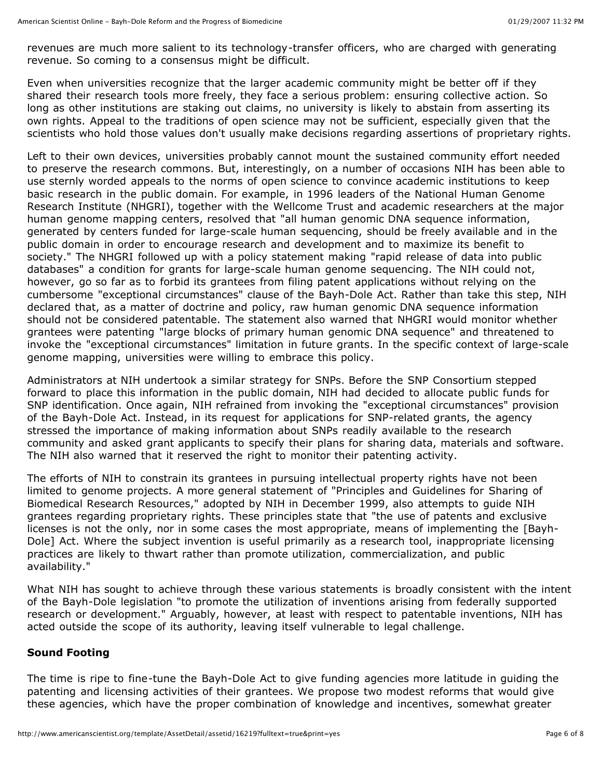revenues are much more salient to its technology-transfer officers, who are charged with generating revenue. So coming to a consensus might be difficult.

Even when universities recognize that the larger academic community might be better off if they shared their research tools more freely, they face a serious problem: ensuring collective action. So long as other institutions are staking out claims, no university is likely to abstain from asserting its own rights. Appeal to the traditions of open science may not be sufficient, especially given that the scientists who hold those values don't usually make decisions regarding assertions of proprietary rights.

Left to their own devices, universities probably cannot mount the sustained community effort needed to preserve the research commons. But, interestingly, on a number of occasions NIH has been able to use sternly worded appeals to the norms of open science to convince academic institutions to keep basic research in the public domain. For example, in 1996 leaders of the National Human Genome Research Institute (NHGRI), together with the Wellcome Trust and academic researchers at the major human genome mapping centers, resolved that "all human genomic DNA sequence information, generated by centers funded for large-scale human sequencing, should be freely available and in the public domain in order to encourage research and development and to maximize its benefit to society." The NHGRI followed up with a policy statement making "rapid release of data into public databases" a condition for grants for large-scale human genome sequencing. The NIH could not, however, go so far as to forbid its grantees from filing patent applications without relying on the cumbersome "exceptional circumstances" clause of the Bayh-Dole Act. Rather than take this step, NIH declared that, as a matter of doctrine and policy, raw human genomic DNA sequence information should not be considered patentable. The statement also warned that NHGRI would monitor whether grantees were patenting "large blocks of primary human genomic DNA sequence" and threatened to invoke the "exceptional circumstances" limitation in future grants. In the specific context of large-scale genome mapping, universities were willing to embrace this policy.

Administrators at NIH undertook a similar strategy for SNPs. Before the SNP Consortium stepped forward to place this information in the public domain, NIH had decided to allocate public funds for SNP identification. Once again, NIH refrained from invoking the "exceptional circumstances" provision of the Bayh-Dole Act. Instead, in its request for applications for SNP-related grants, the agency stressed the importance of making information about SNPs readily available to the research community and asked grant applicants to specify their plans for sharing data, materials and software. The NIH also warned that it reserved the right to monitor their patenting activity.

The efforts of NIH to constrain its grantees in pursuing intellectual property rights have not been limited to genome projects. A more general statement of "Principles and Guidelines for Sharing of Biomedical Research Resources," adopted by NIH in December 1999, also attempts to guide NIH grantees regarding proprietary rights. These principles state that "the use of patents and exclusive licenses is not the only, nor in some cases the most appropriate, means of implementing the [Bayh-Dole] Act. Where the subject invention is useful primarily as a research tool, inappropriate licensing practices are likely to thwart rather than promote utilization, commercialization, and public availability."

What NIH has sought to achieve through these various statements is broadly consistent with the intent of the Bayh-Dole legislation "to promote the utilization of inventions arising from federally supported research or development." Arguably, however, at least with respect to patentable inventions, NIH has acted outside the scope of its authority, leaving itself vulnerable to legal challenge.

# **Sound Footing**

The time is ripe to fine-tune the Bayh-Dole Act to give funding agencies more latitude in guiding the patenting and licensing activities of their grantees. We propose two modest reforms that would give these agencies, which have the proper combination of knowledge and incentives, somewhat greater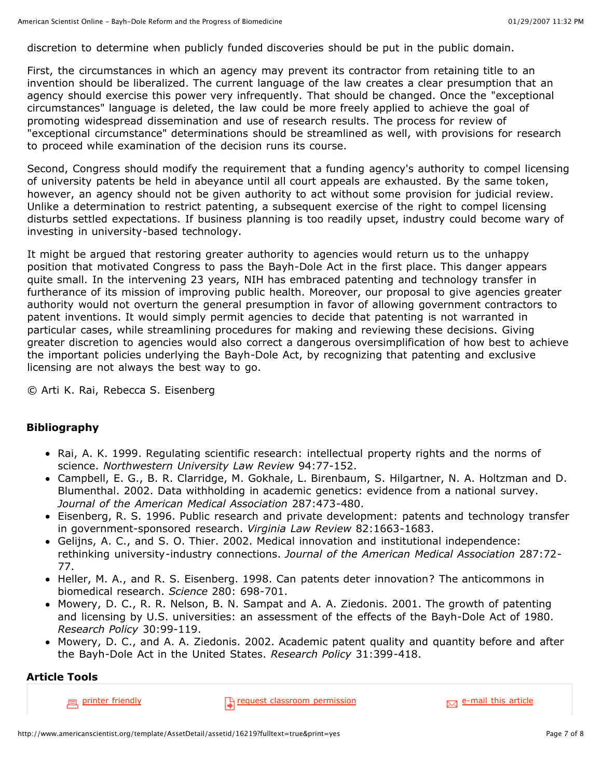discretion to determine when publicly funded discoveries should be put in the public domain.

First, the circumstances in which an agency may prevent its contractor from retaining title to an invention should be liberalized. The current language of the law creates a clear presumption that an agency should exercise this power very infrequently. That should be changed. Once the "exceptional circumstances" language is deleted, the law could be more freely applied to achieve the goal of promoting widespread dissemination and use of research results. The process for review of "exceptional circumstance" determinations should be streamlined as well, with provisions for research to proceed while examination of the decision runs its course.

Second, Congress should modify the requirement that a funding agency's authority to compel licensing of university patents be held in abeyance until all court appeals are exhausted. By the same token, however, an agency should not be given authority to act without some provision for judicial review. Unlike a determination to restrict patenting, a subsequent exercise of the right to compel licensing disturbs settled expectations. If business planning is too readily upset, industry could become wary of investing in university-based technology.

It might be argued that restoring greater authority to agencies would return us to the unhappy position that motivated Congress to pass the Bayh-Dole Act in the first place. This danger appears quite small. In the intervening 23 years, NIH has embraced patenting and technology transfer in furtherance of its mission of improving public health. Moreover, our proposal to give agencies greater authority would not overturn the general presumption in favor of allowing government contractors to patent inventions. It would simply permit agencies to decide that patenting is not warranted in particular cases, while streamlining procedures for making and reviewing these decisions. Giving greater discretion to agencies would also correct a dangerous oversimplification of how best to achieve the important policies underlying the Bayh-Dole Act, by recognizing that patenting and exclusive licensing are not always the best way to go.

© Arti K. Rai, Rebecca S. Eisenberg

#### **Bibliography**

- Rai, A. K. 1999. Regulating scientific research: intellectual property rights and the norms of science. *Northwestern University Law Review* 94:77-152.
- Campbell, E. G., B. R. Clarridge, M. Gokhale, L. Birenbaum, S. Hilgartner, N. A. Holtzman and D. Blumenthal. 2002. Data withholding in academic genetics: evidence from a national survey. *Journal of the American Medical Association* 287:473-480.
- Eisenberg, R. S. 1996. Public research and private development: patents and technology transfer in government-sponsored research. *Virginia Law Review* 82:1663-1683.
- Gelijns, A. C., and S. O. Thier. 2002. Medical innovation and institutional independence: rethinking university-industry connections. *Journal of the American Medical Association* 287:72- 77.
- Heller, M. A., and R. S. Eisenberg. 1998. Can patents deter innovation? The anticommons in biomedical research. *Science* 280: 698-701.
- Mowery, D. C., R. R. Nelson, B. N. Sampat and A. A. Ziedonis. 2001. The growth of patenting and licensing by U.S. universities: an assessment of the effects of the Bayh-Dole Act of 1980. *Research Policy* 30:99-119.
- Mowery, D. C., and A. A. Ziedonis. 2002. Academic patent quality and quantity before and after the Bayh-Dole Act in the United States. *Research Policy* 31:399-418.

# **Article Tools**

printer friendly request classroom permission example and this article